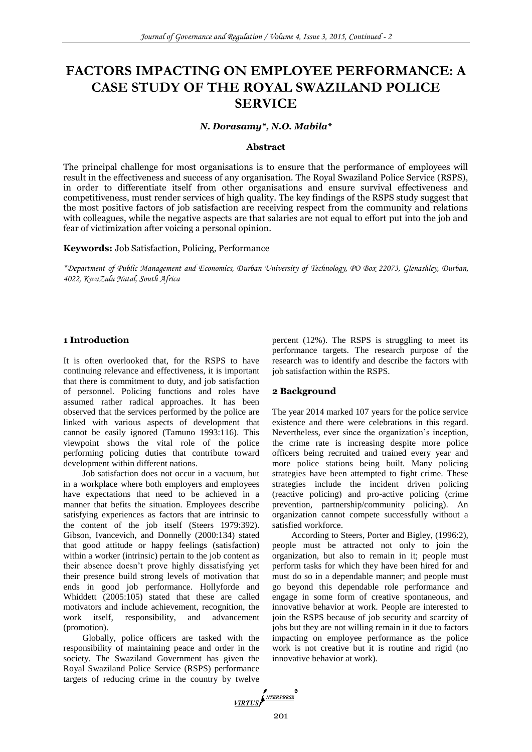# **FACTORS IMPACTING ON EMPLOYEE PERFORMANCE: A CASE STUDY OF THE ROYAL SWAZILAND POLICE SERVICE**

*N. Dorasamy\*, N.O. Mabila\**

## **Abstract**

The principal challenge for most organisations is to ensure that the performance of employees will result in the effectiveness and success of any organisation. The Royal Swaziland Police Service (RSPS), in order to differentiate itself from other organisations and ensure survival effectiveness and competitiveness, must render services of high quality. The key findings of the RSPS study suggest that the most positive factors of job satisfaction are receiving respect from the community and relations with colleagues, while the negative aspects are that salaries are not equal to effort put into the job and fear of victimization after voicing a personal opinion.

**Keywords:** Job Satisfaction, Policing, Performance

*\*Department of Public Management and Economics, Durban University of Technology, PO Box 22073, Glenashley, Durban, 4022, KwaZulu Natal, South Africa*

## **1 Introduction**

It is often overlooked that, for the RSPS to have continuing relevance and effectiveness, it is important that there is commitment to duty, and job satisfaction of personnel. Policing functions and roles have assumed rather radical approaches. It has been observed that the services performed by the police are linked with various aspects of development that cannot be easily ignored (Tamuno 1993:116). This viewpoint shows the vital role of the police performing policing duties that contribute toward development within different nations.

Job satisfaction does not occur in a vacuum, but in a workplace where both employers and employees have expectations that need to be achieved in a manner that befits the situation. Employees describe satisfying experiences as factors that are intrinsic to the content of the job itself (Steers 1979:392). Gibson, Ivancevich, and Donnelly (2000:134) stated that good attitude or happy feelings (satisfaction) within a worker (intrinsic) pertain to the job content as their absence doesn't prove highly dissatisfying yet their presence build strong levels of motivation that ends in good job performance. Hollyforde and Whiddett (2005:105) stated that these are called motivators and include achievement, recognition, the work itself, responsibility, and advancement (promotion).

Globally, police officers are tasked with the responsibility of maintaining peace and order in the society. The Swaziland Government has given the Royal Swaziland Police Service (RSPS) performance targets of reducing crime in the country by twelve

percent (12%). The RSPS is struggling to meet its performance targets. The research purpose of the research was to identify and describe the factors with job satisfaction within the RSPS.

#### **2 Background**

The year 2014 marked 107 years for the police service existence and there were celebrations in this regard. Nevertheless, ever since the organization's inception, the crime rate is increasing despite more police officers being recruited and trained every year and more police stations being built. Many policing strategies have been attempted to fight crime. These strategies include the incident driven policing (reactive policing) and pro-active policing (crime prevention, partnership/community policing). An organization cannot compete successfully without a satisfied workforce.

According to Steers, Porter and Bigley, (1996:2), people must be attracted not only to join the organization, but also to remain in it; people must perform tasks for which they have been hired for and must do so in a dependable manner; and people must go beyond this dependable role performance and engage in some form of creative spontaneous, and innovative behavior at work. People are interested to join the RSPS because of job security and scarcity of jobs but they are not willing remain in it due to factors impacting on employee performance as the police work is not creative but it is routine and rigid (no innovative behavior at work).

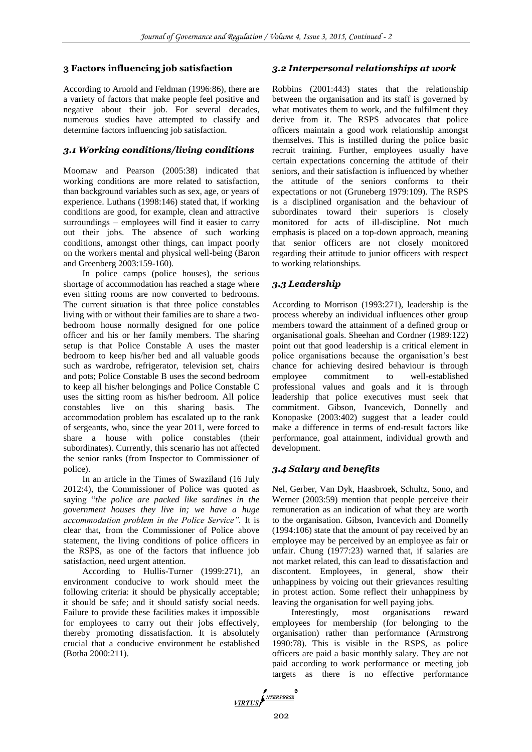# **3 Factors influencing job satisfaction**

According to Arnold and Feldman (1996:86), there are a variety of factors that make people feel positive and negative about their job. For several decades, numerous studies have attempted to classify and determine factors influencing job satisfaction.

# *3.1 Working conditions/living conditions*

Moomaw and Pearson (2005:38) indicated that working conditions are more related to satisfaction, than background variables such as sex, age, or years of experience. Luthans (1998:146) stated that, if working conditions are good, for example, clean and attractive surroundings – employees will find it easier to carry out their jobs. The absence of such working conditions, amongst other things, can impact poorly on the workers mental and physical well-being (Baron and Greenberg 2003:159-160).

In police camps (police houses), the serious shortage of accommodation has reached a stage where even sitting rooms are now converted to bedrooms. The current situation is that three police constables living with or without their families are to share a twobedroom house normally designed for one police officer and his or her family members. The sharing setup is that Police Constable A uses the master bedroom to keep his/her bed and all valuable goods such as wardrobe, refrigerator, television set, chairs and pots; Police Constable B uses the second bedroom to keep all his/her belongings and Police Constable C uses the sitting room as his/her bedroom. All police constables live on this sharing basis. The accommodation problem has escalated up to the rank of sergeants, who, since the year 2011, were forced to share a house with police constables (their subordinates). Currently, this scenario has not affected the senior ranks (from Inspector to Commissioner of police).

In an article in the Times of Swaziland (16 July 2012:4), the Commissioner of Police was quoted as saying "*the police are packed like sardines in the government houses they live in; we have a huge accommodation problem in the Police Service".* It is clear that, from the Commissioner of Police above statement, the living conditions of police officers in the RSPS, as one of the factors that influence job satisfaction, need urgent attention.

According to Hullis-Turner (1999:271), an environment conducive to work should meet the following criteria: it should be physically acceptable; it should be safe; and it should satisfy social needs. Failure to provide these facilities makes it impossible for employees to carry out their jobs effectively, thereby promoting dissatisfaction. It is absolutely crucial that a conducive environment be established (Botha 2000:211).

# *3.2 Interpersonal relationships at work*

Robbins (2001:443) states that the relationship between the organisation and its staff is governed by what motivates them to work, and the fulfilment they derive from it. The RSPS advocates that police officers maintain a good work relationship amongst themselves. This is instilled during the police basic recruit training. Further, employees usually have certain expectations concerning the attitude of their seniors, and their satisfaction is influenced by whether the attitude of the seniors conforms to their expectations or not (Gruneberg 1979:109). The RSPS is a disciplined organisation and the behaviour of subordinates toward their superiors is closely monitored for acts of ill-discipline. Not much emphasis is placed on a top-down approach, meaning that senior officers are not closely monitored regarding their attitude to junior officers with respect to working relationships.

# *3.3 Leadership*

According to Morrison (1993:271), leadership is the process whereby an individual influences other group members toward the attainment of a defined group or organisational goals. Sheehan and Cordner (1989:122) point out that good leadership is a critical element in police organisations because the organisation's best chance for achieving desired behaviour is through employee commitment to well-established professional values and goals and it is through leadership that police executives must seek that commitment. Gibson, Ivancevich, Donnelly and Konopaske (2003:402) suggest that a leader could make a difference in terms of end-result factors like performance, goal attainment, individual growth and development.

# *3.4 Salary and benefits*

Nel, Gerber, Van Dyk, Haasbroek, Schultz, Sono, and Werner (2003:59) mention that people perceive their remuneration as an indication of what they are worth to the organisation. Gibson, Ivancevich and Donnelly (1994:106) state that the amount of pay received by an employee may be perceived by an employee as fair or unfair. Chung (1977:23) warned that, if salaries are not market related, this can lead to dissatisfaction and discontent. Employees, in general, show their unhappiness by voicing out their grievances resulting in protest action. Some reflect their unhappiness by leaving the organisation for well paying jobs.

Interestingly, most organisations reward employees for membership (for belonging to the organisation) rather than performance (Armstrong 1990:78). This is visible in the RSPS, as police officers are paid a basic monthly salary. They are not paid according to work performance or meeting job targets as there is no effective performance

VIRTUS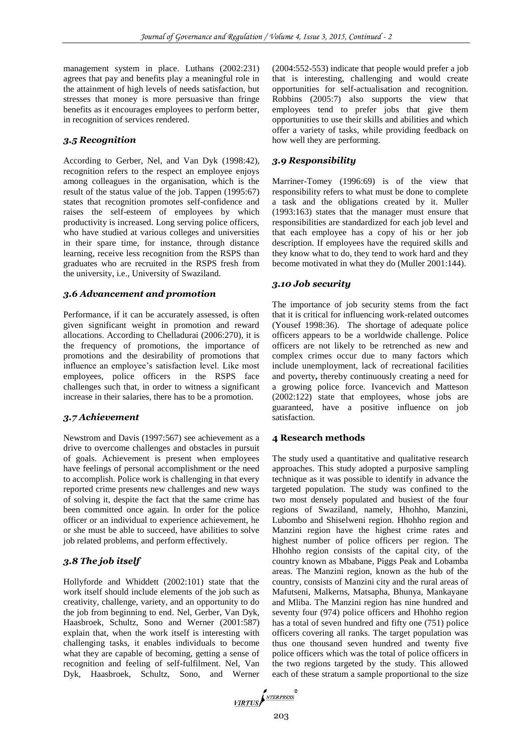management system in place. Luthans (2002:231) agrees that pay and benefits play a meaningful role in the attainment of high levels of needs satisfaction, but stresses that money is more persuasive than fringe benefits as it encourages employees to perform better, in recognition of services rendered.

## *3.5 Recognition*

According to Gerber, Nel, and Van Dyk (1998:42), recognition refers to the respect an employee enjoys among colleagues in the organisation, which is the result of the status value of the job. Tappen (1995:67) states that recognition promotes self-confidence and raises the self-esteem of employees by which productivity is increased. Long serving police officers, who have studied at various colleges and universities in their spare time, for instance, through distance learning, receive less recognition from the RSPS than graduates who are recruited in the RSPS fresh from the university, i.e., University of Swaziland.

### *3.6 Advancement and promotion*

Performance, if it can be accurately assessed, is often given significant weight in promotion and reward allocations. According to Chelladurai (2006:270), it is the frequency of promotions, the importance of promotions and the desirability of promotions that influence an employee's satisfaction level. Like most employees, police officers in the RSPS face challenges such that, in order to witness a significant increase in their salaries, there has to be a promotion.

## *3.7 Achievement*

Newstrom and Davis (1997:567) see achievement as a drive to overcome challenges and obstacles in pursuit of goals. Achievement is present when employees have feelings of personal accomplishment or the need to accomplish. Police work is challenging in that every reported crime presents new challenges and new ways of solving it, despite the fact that the same crime has been committed once again. In order for the police officer or an individual to experience achievement, he or she must be able to succeed, have abilities to solve job related problems, and perform effectively.

# *3.8 The job itself*

Hollyforde and Whiddett (2002:101) state that the work itself should include elements of the job such as creativity, challenge, variety, and an opportunity to do the job from beginning to end. Nel, Gerber, Van Dyk, Haasbroek, Schultz, Sono and Werner (2001:587) explain that, when the work itself is interesting with challenging tasks, it enables individuals to become what they are capable of becoming, getting a sense of recognition and feeling of self-fulfilment. Nel, Van Dyk, Haasbroek, Schultz, Sono, and Werner (2004:552-553) indicate that people would prefer a job that is interesting, challenging and would create opportunities for self-actualisation and recognition. Robbins (2005:7) also supports the view that employees tend to prefer jobs that give them opportunities to use their skills and abilities and which offer a variety of tasks, while providing feedback on how well they are performing.

# *3.9 Responsibility*

Marriner-Tomey (1996:69) is of the view that responsibility refers to what must be done to complete a task and the obligations created by it. Muller (1993:163) states that the manager must ensure that responsibilities are standardized for each job level and that each employee has a copy of his or her job description. If employees have the required skills and they know what to do, they tend to work hard and they become motivated in what they do (Muller 2001:144).

## *3.10 Job security*

The importance of job security stems from the fact that it is critical for influencing work-related outcomes (Yousef 1998:36). The shortage of adequate police officers appears to be a worldwide challenge. Police officers are not likely to be retrenched as new and complex crimes occur due to many factors which include unemployment, lack of recreational facilities and poverty**,** thereby continuously creating a need for a growing police force. Ivancevich and Matteson (2002:122) state that employees, whose jobs are guaranteed, have a positive influence on job satisfaction.

#### **4 Research methods**

The study used a quantitative and qualitative research approaches. This study adopted a purposive sampling technique as it was possible to identify in advance the targeted population. The study was confined to the two most densely populated and busiest of the four regions of Swaziland, namely, Hhohho, Manzini, Lubombo and Shiselweni region. Hhohho region and Manzini region have the highest crime rates and highest number of police officers per region. The Hhohho region consists of the capital city, of the country known as Mbabane, Piggs Peak and Lobamba areas. The Manzini region, known as the hub of the country, consists of Manzini city and the rural areas of Mafutseni, Malkerns, Matsapha, Bhunya, Mankayane and Mliba. The Manzini region has nine hundred and seventy four (974) police officers and Hhohho region has a total of seven hundred and fifty one (751) police officers covering all ranks. The target population was thus one thousand seven hundred and twenty five police officers which was the total of police officers in the two regions targeted by the study. This allowed each of these stratum a sample proportional to the size

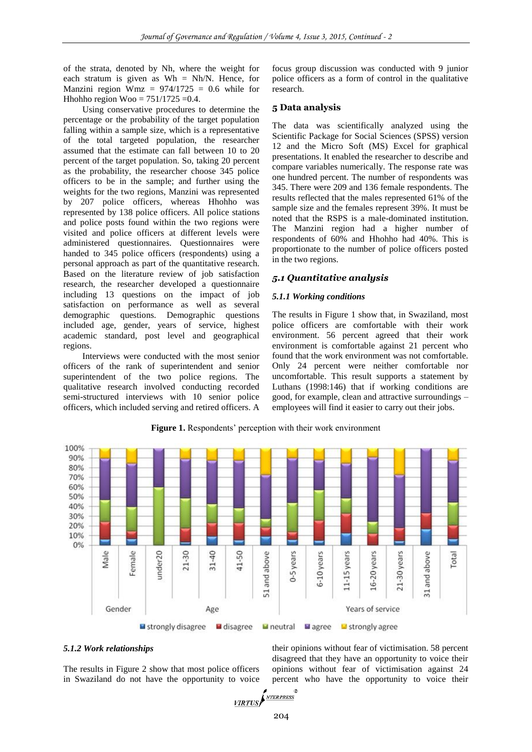of the strata, denoted by Nh, where the weight for each stratum is given as  $Wh = Nh/N$ . Hence, for Manzini region Wmz =  $974/1725 = 0.6$  while for Hhohho region Woo =  $751/1725 = 0.4$ .

Using conservative procedures to determine the percentage or the probability of the target population falling within a sample size, which is a representative of the total targeted population, the researcher assumed that the estimate can fall between 10 to 20 percent of the target population. So, taking 20 percent as the probability, the researcher choose 345 police officers to be in the sample; and further using the weights for the two regions, Manzini was represented by 207 police officers, whereas Hhohho was represented by 138 police officers. All police stations and police posts found within the two regions were visited and police officers at different levels were administered questionnaires. Questionnaires were handed to 345 police officers (respondents) using a personal approach as part of the quantitative research. Based on the literature review of job satisfaction research, the researcher developed a questionnaire including 13 questions on the impact of job satisfaction on performance as well as several demographic questions. Demographic questions included age, gender, years of service, highest academic standard, post level and geographical regions.

Interviews were conducted with the most senior officers of the rank of superintendent and senior superintendent of the two police regions. The qualitative research involved conducting recorded semi-structured interviews with 10 senior police officers, which included serving and retired officers. A focus group discussion was conducted with 9 junior police officers as a form of control in the qualitative research.

## **5 Data analysis**

The data was scientifically analyzed using the Scientific Package for Social Sciences (SPSS) version 12 and the Micro Soft (MS) Excel for graphical presentations. It enabled the researcher to describe and compare variables numerically. The response rate was one hundred percent. The number of respondents was 345. There were 209 and 136 female respondents. The results reflected that the males represented 61% of the sample size and the females represent 39%. It must be noted that the RSPS is a male-dominated institution. The Manzini region had a higher number of respondents of 60% and Hhohho had 40%. This is proportionate to the number of police officers posted in the two regions.

# *5.1 Quantitative analysis*

## *5.1.1 Working conditions*

The results in Figure 1 show that, in Swaziland, most police officers are comfortable with their work environment. 56 percent agreed that their work environment is comfortable against 21 percent who found that the work environment was not comfortable. Only 24 percent were neither comfortable nor uncomfortable. This result supports a statement by Luthans (1998:146) that if working conditions are good, for example, clean and attractive surroundings – employees will find it easier to carry out their jobs.



**Figure 1.** Respondents' perception with their work environment

## *5.1.2 Work relationships*

The results in Figure 2 show that most police officers in Swaziland do not have the opportunity to voice

their opinions without fear of victimisation. 58 percent disagreed that they have an opportunity to voice their opinions without fear of victimisation against 24 percent who have the opportunity to voice their

$$
\sqrt{IRTUS} \int_{\text{NTERPRESS}}^{\text{NTERPRESS}}
$$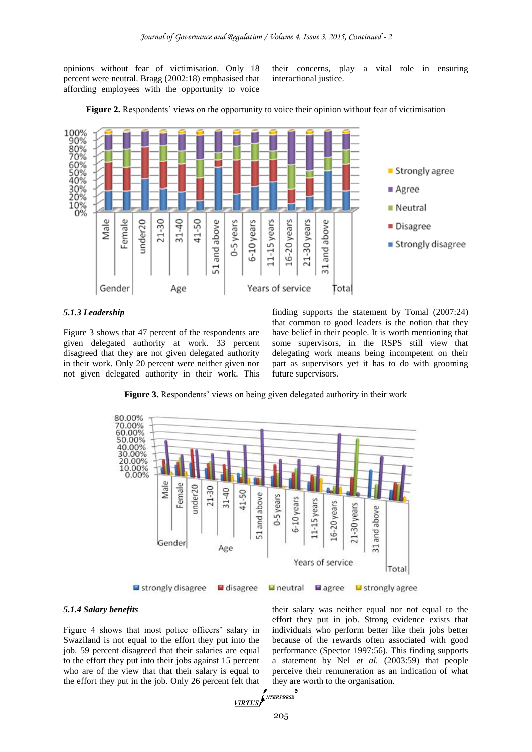opinions without fear of victimisation. Only 18 percent were neutral. Bragg (2002:18) emphasised that affording employees with the opportunity to voice

their concerns, play a vital role in ensuring interactional justice.



**Figure 2.** Respondents' views on the opportunity to voice their opinion without fear of victimisation

## *5.1.3 Leadership*

Figure 3 shows that 47 percent of the respondents are given delegated authority at work. 33 percent disagreed that they are not given delegated authority in their work. Only 20 percent were neither given nor not given delegated authority in their work. This finding supports the statement by Tomal (2007:24) that common to good leaders is the notion that they have belief in their people. It is worth mentioning that some supervisors, in the RSPS still view that delegating work means being incompetent on their part as supervisors yet it has to do with grooming future supervisors.

**Figure 3.** Respondents' views on being given delegated authority in their work



## *5.1.4 Salary benefits*

Figure 4 shows that most police officers' salary in Swaziland is not equal to the effort they put into the job. 59 percent disagreed that their salaries are equal to the effort they put into their jobs against 15 percent who are of the view that that their salary is equal to the effort they put in the job. Only 26 percent felt that their salary was neither equal nor not equal to the effort they put in job. Strong evidence exists that individuals who perform better like their jobs better because of the rewards often associated with good performance (Spector 1997:56). This finding supports a statement by Nel *et al.* (2003:59) that people perceive their remuneration as an indication of what they are worth to the organisation.

$$
\underbrace{\text{VIRTUS}}_{205}
$$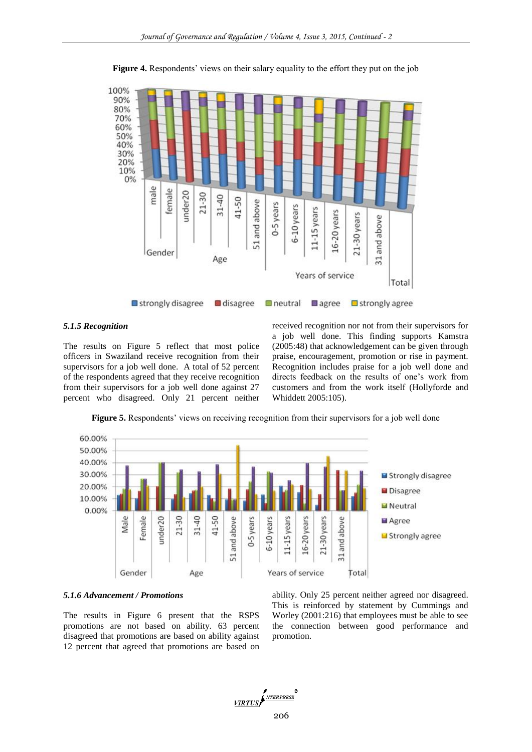

**Figure 4.** Respondents' views on their salary equality to the effort they put on the job

#### *5.1.5 Recognition*

The results on Figure 5 reflect that most police officers in Swaziland receive recognition from their supervisors for a job well done. A total of 52 percent of the respondents agreed that they receive recognition from their supervisors for a job well done against 27 percent who disagreed. Only 21 percent neither received recognition nor not from their supervisors for a job well done. This finding supports Kamstra (2005:48) that acknowledgement can be given through praise, encouragement, promotion or rise in payment. Recognition includes praise for a job well done and directs feedback on the results of one's work from customers and from the work itself (Hollyforde and Whiddett 2005:105).



**Figure 5.** Respondents' views on receiving recognition from their supervisors for a job well done

#### *5.1.6 Advancement / Promotions*

The results in Figure 6 present that the RSPS promotions are not based on ability. 63 percent disagreed that promotions are based on ability against 12 percent that agreed that promotions are based on ability. Only 25 percent neither agreed nor disagreed. This is reinforced by statement by Cummings and Worley (2001:216) that employees must be able to see the connection between good performance and promotion.

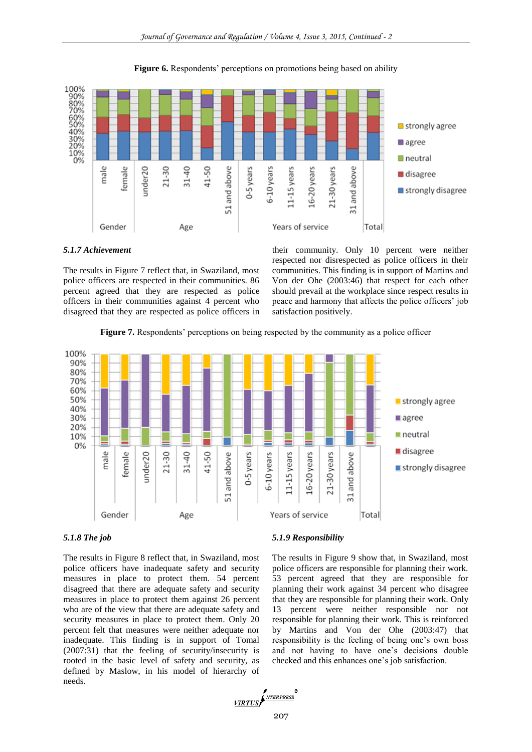



## *5.1.7 Achievement*

The results in Figure 7 reflect that, in Swaziland, most police officers are respected in their communities. 86 percent agreed that they are respected as police officers in their communities against 4 percent who disagreed that they are respected as police officers in their community. Only 10 percent were neither respected nor disrespected as police officers in their communities. This finding is in support of Martins and Von der Ohe (2003:46) that respect for each other should prevail at the workplace since respect results in peace and harmony that affects the police officers' job satisfaction positively.







The results in Figure 8 reflect that, in Swaziland, most police officers have inadequate safety and security measures in place to protect them. 54 percent disagreed that there are adequate safety and security measures in place to protect them against 26 percent who are of the view that there are adequate safety and security measures in place to protect them. Only 20 percent felt that measures were neither adequate nor inadequate. This finding is in support of Tomal (2007:31) that the feeling of security/insecurity is rooted in the basic level of safety and security, as defined by Maslow, in his model of hierarchy of needs.

### *5.1.9 Responsibility*

The results in Figure 9 show that, in Swaziland, most police officers are responsible for planning their work. 53 percent agreed that they are responsible for planning their work against 34 percent who disagree that they are responsible for planning their work. Only 13 percent were neither responsible nor not responsible for planning their work. This is reinforced by Martins and Von der Ohe (2003:47) that responsibility is the feeling of being one's own boss and not having to have one's decisions double checked and this enhances one's job satisfaction.

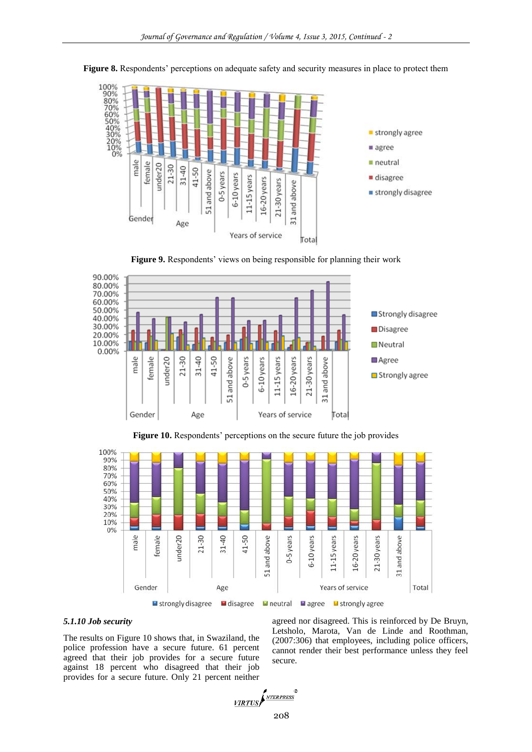

**Figure 8.** Respondents' perceptions on adequate safety and security measures in place to protect them

**Figure 9.** Respondents' views on being responsible for planning their work







#### *5.1.10 Job security*

The results on Figure 10 shows that, in Swaziland, the police profession have a secure future. 61 percent agreed that their job provides for a secure future against 18 percent who disagreed that their job provides for a secure future. Only 21 percent neither agreed nor disagreed. This is reinforced by De Bruyn, Letsholo, Marota, Van de Linde and Roothman, (2007:306) that employees, including police officers, cannot render their best performance unless they feel secure.

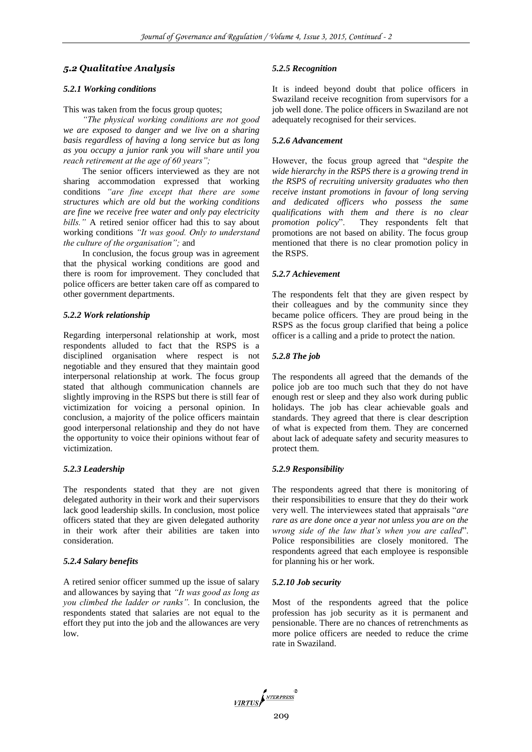## *5.2 Qualitative Analysis*

## *5.2.1 Working conditions*

This was taken from the focus group quotes;

*"The physical working conditions are not good we are exposed to danger and we live on a sharing basis regardless of having a long service but as long as you occupy a junior rank you will share until you reach retirement at the age of 60 years";* 

The senior officers interviewed as they are not sharing accommodation expressed that working conditions *"are fine except that there are some structures which are old but the working conditions are fine we receive free water and only pay electricity bills."* A retired senior officer had this to say about working conditions *"It was good. Only to understand the culture of the organisation";* and

In conclusion, the focus group was in agreement that the physical working conditions are good and there is room for improvement. They concluded that police officers are better taken care off as compared to other government departments.

#### *5.2.2 Work relationship*

Regarding interpersonal relationship at work, most respondents alluded to fact that the RSPS is a disciplined organisation where respect is not negotiable and they ensured that they maintain good interpersonal relationship at work. The focus group stated that although communication channels are slightly improving in the RSPS but there is still fear of victimization for voicing a personal opinion. In conclusion, a majority of the police officers maintain good interpersonal relationship and they do not have the opportunity to voice their opinions without fear of victimization.

## *5.2.3 Leadership*

The respondents stated that they are not given delegated authority in their work and their supervisors lack good leadership skills. In conclusion, most police officers stated that they are given delegated authority in their work after their abilities are taken into consideration.

# *5.2.4 Salary benefits*

A retired senior officer summed up the issue of salary and allowances by saying that *"It was good as long as you climbed the ladder or ranks".* In conclusion, the respondents stated that salaries are not equal to the effort they put into the job and the allowances are very low.

#### *5.2.5 Recognition*

It is indeed beyond doubt that police officers in Swaziland receive recognition from supervisors for a job well done. The police officers in Swaziland are not adequately recognised for their services.

#### *5.2.6 Advancement*

However, the focus group agreed that "*despite the wide hierarchy in the RSPS there is a growing trend in the RSPS of recruiting university graduates who then receive instant promotions in favour of long serving and dedicated officers who possess the same qualifications with them and there is no clear promotion policy*". They respondents felt that promotions are not based on ability. The focus group mentioned that there is no clear promotion policy in the RSPS.

#### *5.2.7 Achievement*

The respondents felt that they are given respect by their colleagues and by the community since they became police officers. They are proud being in the RSPS as the focus group clarified that being a police officer is a calling and a pride to protect the nation.

## *5.2.8 The job*

The respondents all agreed that the demands of the police job are too much such that they do not have enough rest or sleep and they also work during public holidays. The job has clear achievable goals and standards. They agreed that there is clear description of what is expected from them. They are concerned about lack of adequate safety and security measures to protect them.

#### *5.2.9 Responsibility*

The respondents agreed that there is monitoring of their responsibilities to ensure that they do their work very well. The interviewees stated that appraisals "*are rare as are done once a year not unless you are on the wrong side of the law that's when you are called*". Police responsibilities are closely monitored. The respondents agreed that each employee is responsible for planning his or her work.

#### *5.2.10 Job security*

Most of the respondents agreed that the police profession has job security as it is permanent and pensionable. There are no chances of retrenchments as more police officers are needed to reduce the crime rate in Swaziland.

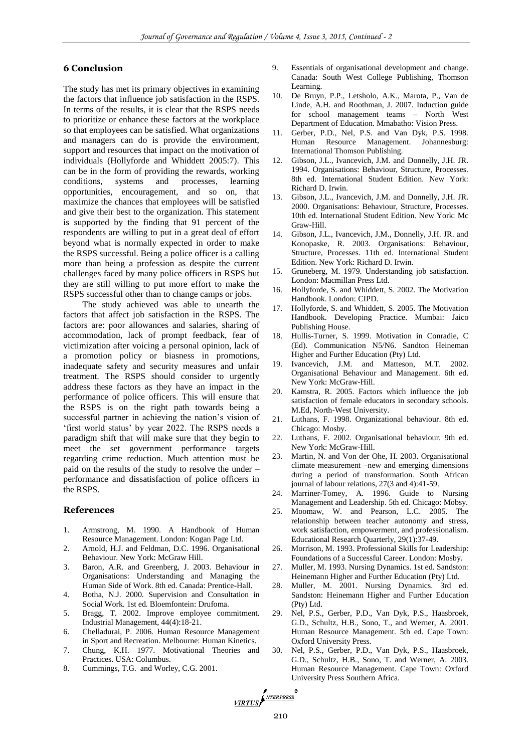# **6 Conclusion**

The study has met its primary objectives in examining the factors that influence job satisfaction in the RSPS. In terms of the results, it is clear that the RSPS needs to prioritize or enhance these factors at the workplace so that employees can be satisfied. What organizations and managers can do is provide the environment, support and resources that impact on the motivation of individuals (Hollyforde and Whiddett 2005:7). This can be in the form of providing the rewards, working conditions, systems and processes, learning opportunities, encouragement, and so on, that maximize the chances that employees will be satisfied and give their best to the organization. This statement is supported by the finding that 91 percent of the respondents are willing to put in a great deal of effort beyond what is normally expected in order to make the RSPS successful. Being a police officer is a calling more than being a profession as despite the current challenges faced by many police officers in RSPS but they are still willing to put more effort to make the RSPS successful other than to change camps or jobs.

The study achieved was able to unearth the factors that affect job satisfaction in the RSPS. The factors are: poor allowances and salaries, sharing of accommodation, lack of prompt feedback, fear of victimization after voicing a personal opinion, lack of a promotion policy or biasness in promotions, inadequate safety and security measures and unfair treatment. The RSPS should consider to urgently address these factors as they have an impact in the performance of police officers. This will ensure that the RSPS is on the right path towards being a successful partner in achieving the nation's vision of 'first world status' by year 2022. The RSPS needs a paradigm shift that will make sure that they begin to meet the set government performance targets regarding crime reduction. Much attention must be paid on the results of the study to resolve the under – performance and dissatisfaction of police officers in the RSPS.

## **References**

- 1. Armstrong, M. 1990. A Handbook of Human Resource Management. London: Kogan Page Ltd.
- 2. Arnold, H.J. and Feldman, D.C. 1996. Organisational Behaviour. New York: McGraw Hill.
- 3. Baron, A.R. and Greenberg, J. 2003. Behaviour in Organisations: Understanding and Managing the Human Side of Work. 8th ed. Canada: Prentice-Hall.
- 4. Botha, N.J. 2000. Supervision and Consultation in Social Work. 1st ed. Bloemfontein: Drufoma.
- 5. Bragg, T. 2002. Improve employee commitment. Industrial Management, 44(4):18-21.
- 6. Chelladurai, P. 2006. Human Resource Management in Sport and Recreation. Melbourne: Human Kinetics.
- 7. Chung, K.H. 1977. Motivational Theories and Practices. USA: Columbus.
- 8. Cummings, T.G. and Worley, C.G. 2001.
- 9. Essentials of organisational development and change. Canada: South West College Publishing, Thomson Learning.
- 10. De Bruyn, P.P., Letsholo, A.K., Marota, P., Van de Linde, A.H. and Roothman, J. 2007. Induction guide for school management teams – North West Department of Education. Mmabatho: Vision Press.
- 11. Gerber, P.D., Nel, P.S. and Van Dyk, P.S. 1998. Human Resource Management. Johannesburg: International Thomson Publishing.
- 12. Gibson, J.L., Ivancevich, J.M. and Donnelly, J.H. JR. 1994. Organisations: Behaviour, Structure, Processes. 8th ed. International Student Edition. New York: Richard D. Irwin.
- Gibson, J.L., Ivancevich, J.M. and Donnelly, J.H. JR. 2000. Organisations: Behaviour, Structure, Processes. 10th ed. International Student Edition. New York: Mc Graw-Hill.
- 14. Gibson, J.L., Ivancevich, J.M., Donnelly, J.H. JR. and Konopaske, R. 2003. Organisations: Behaviour, Structure, Processes. 11th ed. International Student Edition. New York: Richard D. Irwin.
- 15. Gruneberg, M. 1979. Understanding job satisfaction. London: Macmillan Press Ltd.
- 16. Hollyforde, S. and Whiddett, S. 2002. The Motivation Handbook. London: CIPD.
- 17. Hollyforde, S. and Whiddett, S. 2005. The Motivation Handbook. Developing Practice. Mumbai: Jaico Publishing House.
- 18. Hullis-Turner, S. 1999. Motivation in Conradie, C (Ed). Communication N5/N6. Sandton Heineman Higher and Further Education (Pty) Ltd.
- 19. Ivancevich, J.M. and Matteson, M.T. 2002. Organisational Behaviour and Management. 6th ed. New York: McGraw-Hill.
- 20. Kamstra, R. 2005. Factors which influence the job satisfaction of female educators in secondary schools. M.Ed, North-West University.
- 21. Luthans, F. 1998. Organizational behaviour. 8th ed. Chicago: Mosby.
- 22. Luthans, F. 2002. Organisational behaviour. 9th ed. New York: McGraw-Hill.
- 23. Martin, N. and Von der Ohe, H. 2003. Organisational climate measurement –new and emerging dimensions during a period of transformation. South African journal of labour relations, 27(3 and 4):41-59.
- 24. Marriner-Tomey, A. 1996. Guide to Nursing Management and Leadership. 5th ed. Chicago: Mobsy.
- 25. Moomaw, W. and Pearson, L.C. 2005. The relationship between teacher autonomy and stress, work satisfaction, empowerment, and professionalism. Educational Research Quarterly, 29(1):37-49.
- 26. Morrison, M. 1993. Professional Skills for Leadership: Foundations of a Successful Career. London: Mosby.
- 27. Muller, M. 1993. Nursing Dynamics. 1st ed. Sandston: Heinemann Higher and Further Education (Pty) Ltd.
- 28. Muller, M. 2001. Nursing Dynamics. 3rd ed. Sandston: Heinemann Higher and Further Education (Pty) Ltd.
- 29. Nel, P.S., Gerber, P.D., Van Dyk, P.S., Haasbroek, G.D., Schultz, H.B., Sono, T., and Werner, A. 2001. Human Resource Management. 5th ed. Cape Town: Oxford University Press.
- 30. Nel, P.S., Gerber, P.D., Van Dyk, P.S., Haasbroek, G.D., Schultz, H.B., Sono, T. and Werner, A. 2003. Human Resource Management. Cape Town: Oxford University Press Southern Africa.

VIRTUS